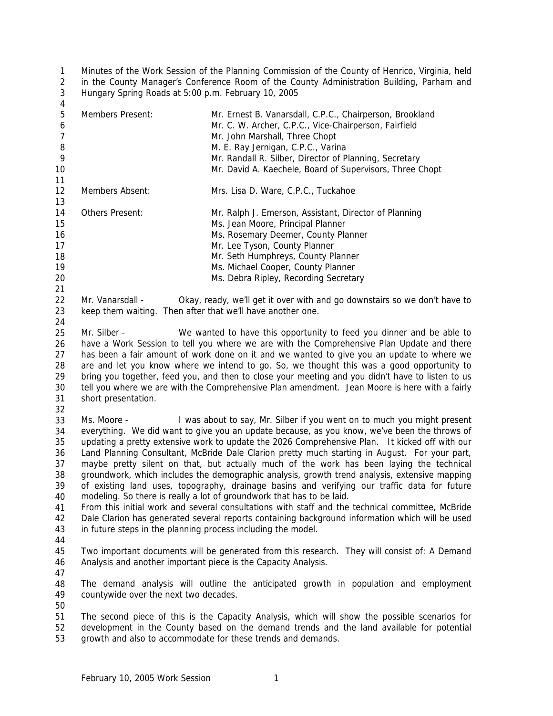1 2 3 Minutes of the Work Session of the Planning Commission of the County of Henrico, Virginia, held in the County Manager's Conference Room of the County Administration Building, Parham and Hungary Spring Roads at 5:00 p.m. February 10, 2005

| 4              |                                                                |                                                                                                                   |
|----------------|----------------------------------------------------------------|-------------------------------------------------------------------------------------------------------------------|
| 5<br>6         | <b>Members Present:</b>                                        | Mr. Ernest B. Vanarsdall, C.P.C., Chairperson, Brookland<br>Mr. C. W. Archer, C.P.C., Vice-Chairperson, Fairfield |
| $\overline{7}$ |                                                                | Mr. John Marshall, Three Chopt                                                                                    |
| 8              |                                                                | M. E. Ray Jernigan, C.P.C., Varina                                                                                |
| 9              |                                                                | Mr. Randall R. Silber, Director of Planning, Secretary                                                            |
| 10             |                                                                | Mr. David A. Kaechele, Board of Supervisors, Three Chopt                                                          |
| 11             |                                                                |                                                                                                                   |
| 12             | Members Absent:                                                | Mrs. Lisa D. Ware, C.P.C., Tuckahoe                                                                               |
| 13             |                                                                |                                                                                                                   |
| 14             | Others Present:                                                | Mr. Ralph J. Emerson, Assistant, Director of Planning                                                             |
| 15             |                                                                | Ms. Jean Moore, Principal Planner                                                                                 |
| 16             |                                                                | Ms. Rosemary Deemer, County Planner                                                                               |
| 17             |                                                                | Mr. Lee Tyson, County Planner                                                                                     |
| 18             |                                                                | Mr. Seth Humphreys, County Planner                                                                                |
| 19             |                                                                | Ms. Michael Cooper, County Planner                                                                                |
| 20             |                                                                | Ms. Debra Ripley, Recording Secretary                                                                             |
| 21             |                                                                |                                                                                                                   |
| 22             | Mr. Vanarsdall -                                               | Okay, ready, we'll get it over with and go downstairs so we don't have to                                         |
| 23             | keep them waiting. Then after that we'll have another one.     |                                                                                                                   |
| 24             |                                                                |                                                                                                                   |
| 25             | Mr. Silber -                                                   | We wanted to have this opportunity to feed you dinner and be able to                                              |
| 26             |                                                                | have a Work Session to tell you where we are with the Comprehensive Plan Update and there                         |
| 27             |                                                                | has been a fair amount of work done on it and we wanted to give you an update to where we                         |
| 28             |                                                                | are and let you know where we intend to go. So, we thought this was a good opportunity to                         |
| 29             |                                                                | bring you together, feed you, and then to close your meeting and you didn't have to listen to us                  |
| 30             |                                                                | tell you where we are with the Comprehensive Plan amendment. Jean Moore is here with a fairly                     |
| 31             | short presentation.                                            |                                                                                                                   |
| 32             |                                                                |                                                                                                                   |
| 33             | Ms. Moore -                                                    | I was about to say, Mr. Silber if you went on to much you might present                                           |
| 34             |                                                                | everything. We did want to give you an update because, as you know, we've been the throws of                      |
| 35             |                                                                | updating a pretty extensive work to update the 2026 Comprehensive Plan. It kicked off with our                    |
| 36             |                                                                | Land Planning Consultant, McBride Dale Clarion pretty much starting in August. For your part,                     |
| 37             |                                                                | maybe pretty silent on that, but actually much of the work has been laying the technical                          |
| 38             |                                                                | groundwork, which includes the demographic analysis, growth trend analysis, extensive mapping                     |
| 39             |                                                                | of existing land uses, topography, drainage basins and verifying our traffic data for future                      |
| 40             |                                                                | modeling. So there is really a lot of groundwork that has to be laid.                                             |
| 41             |                                                                | From this initial work and several consultations with staff and the technical committee, McBride                  |
| 42             |                                                                | Dale Clarion has generated several reports containing background information which will be used                   |
| 43             | in future steps in the planning process including the model.   |                                                                                                                   |
| 44             |                                                                |                                                                                                                   |
| 45             |                                                                | Two important documents will be generated from this research. They will consist of: A Demand                      |
| 46             | Analysis and another important piece is the Capacity Analysis. |                                                                                                                   |
| 47             |                                                                |                                                                                                                   |
| 48             |                                                                | The demand analysis will outline the anticipated growth in population and employment                              |
| 49             | countywide over the next two decades.                          |                                                                                                                   |
| 50             |                                                                |                                                                                                                   |
| 51             |                                                                | The second piece of this is the Capacity Analysis, which will show the possible scenarios for                     |
| 52             |                                                                | development in the County based on the demand trends and the land available for potential                         |
| 53             |                                                                | growth and also to accommodate for these trends and demands.                                                      |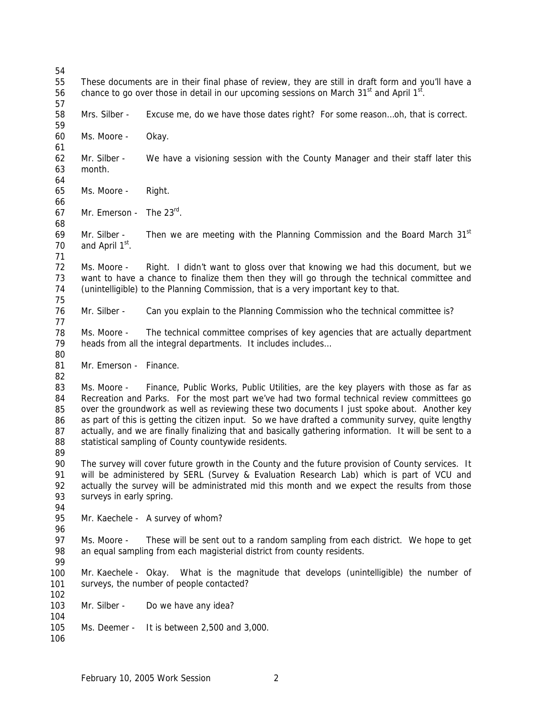| 54                                     |                                                                                                                                                                                                                                                                                                                                                                                                                                                                                                                                                                         |                                                                                                                                                           |  |  |
|----------------------------------------|-------------------------------------------------------------------------------------------------------------------------------------------------------------------------------------------------------------------------------------------------------------------------------------------------------------------------------------------------------------------------------------------------------------------------------------------------------------------------------------------------------------------------------------------------------------------------|-----------------------------------------------------------------------------------------------------------------------------------------------------------|--|--|
| 55<br>56<br>57                         | These documents are in their final phase of review, they are still in draft form and you'll have a<br>chance to go over those in detail in our upcoming sessions on March 31 <sup>st</sup> and April 1 <sup>st</sup> .                                                                                                                                                                                                                                                                                                                                                  |                                                                                                                                                           |  |  |
| 58<br>59                               | Mrs. Silber -                                                                                                                                                                                                                                                                                                                                                                                                                                                                                                                                                           | Excuse me, do we have those dates right? For some reasonoh, that is correct.                                                                              |  |  |
| 60<br>61                               | Ms. Moore -                                                                                                                                                                                                                                                                                                                                                                                                                                                                                                                                                             | Okay.                                                                                                                                                     |  |  |
| 62<br>63<br>64                         | Mr. Silber -<br>month.                                                                                                                                                                                                                                                                                                                                                                                                                                                                                                                                                  | We have a visioning session with the County Manager and their staff later this                                                                            |  |  |
| 65<br>66                               | Ms. Moore -                                                                                                                                                                                                                                                                                                                                                                                                                                                                                                                                                             | Right.                                                                                                                                                    |  |  |
| 67<br>68                               | Mr. Emerson -                                                                                                                                                                                                                                                                                                                                                                                                                                                                                                                                                           | The $23^{\text{rd}}$ .                                                                                                                                    |  |  |
| 69<br>70<br>71                         | Mr. Silber -<br>and April 1 <sup>st</sup> .                                                                                                                                                                                                                                                                                                                                                                                                                                                                                                                             | Then we are meeting with the Planning Commission and the Board March 31 <sup>st</sup>                                                                     |  |  |
| 72<br>73<br>74<br>75                   | Right. I didn't want to gloss over that knowing we had this document, but we<br>Ms. Moore -<br>want to have a chance to finalize them then they will go through the technical committee and<br>(unintelligible) to the Planning Commission, that is a very important key to that.                                                                                                                                                                                                                                                                                       |                                                                                                                                                           |  |  |
| 76<br>77                               | Mr. Silber -                                                                                                                                                                                                                                                                                                                                                                                                                                                                                                                                                            | Can you explain to the Planning Commission who the technical committee is?                                                                                |  |  |
| 78<br>79<br>80                         | The technical committee comprises of key agencies that are actually department<br>Ms. Moore -<br>heads from all the integral departments. It includes includes                                                                                                                                                                                                                                                                                                                                                                                                          |                                                                                                                                                           |  |  |
| 81<br>82                               | Mr. Emerson - Finance.                                                                                                                                                                                                                                                                                                                                                                                                                                                                                                                                                  |                                                                                                                                                           |  |  |
| 83<br>84<br>85<br>86<br>87<br>88<br>89 | Finance, Public Works, Public Utilities, are the key players with those as far as<br>Ms. Moore -<br>Recreation and Parks. For the most part we've had two formal technical review committees go<br>over the groundwork as well as reviewing these two documents I just spoke about. Another key<br>as part of this is getting the citizen input. So we have drafted a community survey, quite lengthy<br>actually, and we are finally finalizing that and basically gathering information. It will be sent to a<br>statistical sampling of County countywide residents. |                                                                                                                                                           |  |  |
| 90<br>91<br>92<br>93<br>94             | The survey will cover future growth in the County and the future provision of County services. It<br>will be administered by SERL (Survey & Evaluation Research Lab) which is part of VCU and<br>actually the survey will be administrated mid this month and we expect the results from those<br>surveys in early spring.                                                                                                                                                                                                                                              |                                                                                                                                                           |  |  |
| 95<br>96                               |                                                                                                                                                                                                                                                                                                                                                                                                                                                                                                                                                                         | Mr. Kaechele - A survey of whom?                                                                                                                          |  |  |
| 97<br>98<br>99                         | Ms. Moore -                                                                                                                                                                                                                                                                                                                                                                                                                                                                                                                                                             | These will be sent out to a random sampling from each district. We hope to get<br>an equal sampling from each magisterial district from county residents. |  |  |
| 100<br>101<br>102                      | Mr. Kaechele - Okay.                                                                                                                                                                                                                                                                                                                                                                                                                                                                                                                                                    | What is the magnitude that develops (unintelligible) the number of<br>surveys, the number of people contacted?                                            |  |  |
| 103<br>104                             | Mr. Silber -                                                                                                                                                                                                                                                                                                                                                                                                                                                                                                                                                            | Do we have any idea?                                                                                                                                      |  |  |
| 105<br>106                             | Ms. Deemer -                                                                                                                                                                                                                                                                                                                                                                                                                                                                                                                                                            | It is between 2,500 and 3,000.                                                                                                                            |  |  |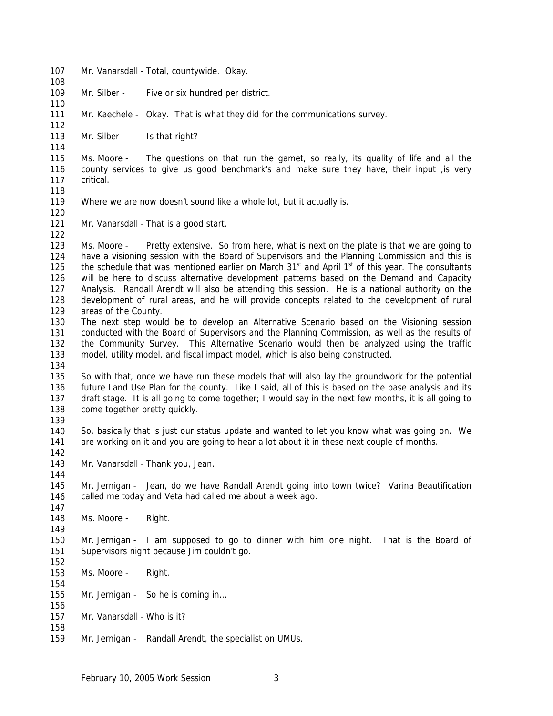107 108 109 110 111 112 113 114 115 116 117 118 119 120 121 122 123 124 125 126 127 128 129 130 131 132 133 134 135 136 137 138 139 140 141 142 143 144 145 146 147 148 149 150 151 152 153 154 155 156 157 158 159 Mr. Vanarsdall - Total, countywide. Okay. Mr. Silber - Five or six hundred per district. Mr. Kaechele - Okay. That is what they did for the communications survey. Mr. Silber - Is that right? Ms. Moore - The questions on that run the gamet, so really, its quality of life and all the county services to give us good benchmark's and make sure they have, their input ,is very critical. Where we are now doesn't sound like a whole lot, but it actually is. Mr. Vanarsdall - That is a good start. Ms. Moore - Pretty extensive. So from here, what is next on the plate is that we are going to have a visioning session with the Board of Supervisors and the Planning Commission and this is the schedule that was mentioned earlier on March 31<sup>st</sup> and April 1<sup>st</sup> of this year. The consultants will be here to discuss alternative development patterns based on the Demand and Capacity Analysis. Randall Arendt will also be attending this session. He is a national authority on the development of rural areas, and he will provide concepts related to the development of rural areas of the County. The next step would be to develop an Alternative Scenario based on the Visioning session conducted with the Board of Supervisors and the Planning Commission, as well as the results of the Community Survey. This Alternative Scenario would then be analyzed using the traffic model, utility model, and fiscal impact model, which is also being constructed. So with that, once we have run these models that will also lay the groundwork for the potential future Land Use Plan for the county. Like I said, all of this is based on the base analysis and its draft stage. It is all going to come together; I would say in the next few months, it is all going to come together pretty quickly. So, basically that is just our status update and wanted to let you know what was going on. We are working on it and you are going to hear a lot about it in these next couple of months. Mr. Vanarsdall - Thank you, Jean. Mr. Jernigan - Jean, do we have Randall Arendt going into town twice? Varina Beautification called me today and Veta had called me about a week ago. Ms. Moore - Right. Mr. Jernigan - I am supposed to go to dinner with him one night. That is the Board of Supervisors night because Jim couldn't go. Ms. Moore - Right. Mr. Jernigan - So he is coming in… Mr. Vanarsdall - Who is it? Mr. Jernigan - Randall Arendt, the specialist on UMUs.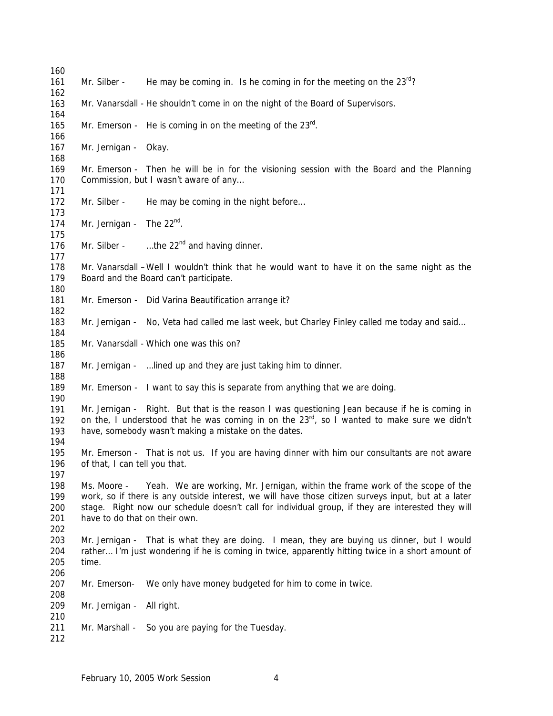| 160        |                                                                                                                                    |                                                                                                     |  |
|------------|------------------------------------------------------------------------------------------------------------------------------------|-----------------------------------------------------------------------------------------------------|--|
| 161        | Mr. Silber -                                                                                                                       | He may be coming in. Is he coming in for the meeting on the $23^{rd}$ ?                             |  |
| 162        |                                                                                                                                    |                                                                                                     |  |
| 163        |                                                                                                                                    | Mr. Vanarsdall - He shouldn't come in on the night of the Board of Supervisors.                     |  |
| 164        |                                                                                                                                    |                                                                                                     |  |
| 165        |                                                                                                                                    | Mr. Emerson - He is coming in on the meeting of the $23^{\text{rd}}$ .                              |  |
| 166        |                                                                                                                                    |                                                                                                     |  |
| 167        | Mr. Jernigan - Okay.                                                                                                               |                                                                                                     |  |
| 168        |                                                                                                                                    |                                                                                                     |  |
| 169        |                                                                                                                                    | Mr. Emerson - Then he will be in for the visioning session with the Board and the Planning          |  |
| 170        |                                                                                                                                    | Commission, but I wasn't aware of any                                                               |  |
| 171<br>172 | Mr. Silber -                                                                                                                       |                                                                                                     |  |
| 173        |                                                                                                                                    | He may be coming in the night before                                                                |  |
| 174        | Mr. Jernigan - The $22^{nd}$ .                                                                                                     |                                                                                                     |  |
| 175        |                                                                                                                                    |                                                                                                     |  |
| 176        |                                                                                                                                    | Mr. Silber - $\ldots$ the 22 <sup>nd</sup> and having dinner.                                       |  |
| 177        |                                                                                                                                    |                                                                                                     |  |
| 178        |                                                                                                                                    | Mr. Vanarsdall - Well I wouldn't think that he would want to have it on the same night as the       |  |
| 179        |                                                                                                                                    | Board and the Board can't participate.                                                              |  |
| 180        |                                                                                                                                    |                                                                                                     |  |
| 181        |                                                                                                                                    | Mr. Emerson - Did Varina Beautification arrange it?                                                 |  |
| 182        |                                                                                                                                    |                                                                                                     |  |
| 183        |                                                                                                                                    | Mr. Jernigan - No, Veta had called me last week, but Charley Finley called me today and said        |  |
| 184        |                                                                                                                                    |                                                                                                     |  |
| 185        |                                                                                                                                    | Mr. Vanarsdall - Which one was this on?                                                             |  |
| 186        |                                                                                                                                    |                                                                                                     |  |
| 187        |                                                                                                                                    | Mr. Jernigan -  lined up and they are just taking him to dinner.                                    |  |
| 188        |                                                                                                                                    |                                                                                                     |  |
| 189        |                                                                                                                                    | Mr. Emerson - I want to say this is separate from anything that we are doing.                       |  |
| 190        |                                                                                                                                    |                                                                                                     |  |
| 191        |                                                                                                                                    | Mr. Jernigan - Right. But that is the reason I was questioning Jean because if he is coming in      |  |
| 192        |                                                                                                                                    | on the, I understood that he was coming in on the $23^{rd}$ , so I wanted to make sure we didn't    |  |
| 193        |                                                                                                                                    | have, somebody wasn't making a mistake on the dates.                                                |  |
| 194        |                                                                                                                                    |                                                                                                     |  |
| 195        |                                                                                                                                    | Mr. Emerson - That is not us. If you are having dinner with him our consultants are not aware       |  |
| 196        | of that, I can tell you that.                                                                                                      |                                                                                                     |  |
| 197        |                                                                                                                                    |                                                                                                     |  |
| 198<br>199 | Ms. Moore -                                                                                                                        | Yeah. We are working, Mr. Jernigan, within the frame work of the scope of the                       |  |
|            |                                                                                                                                    | work, so if there is any outside interest, we will have those citizen surveys input, but at a later |  |
| 200<br>201 | stage. Right now our schedule doesn't call for individual group, if they are interested they will<br>have to do that on their own. |                                                                                                     |  |
| 202        |                                                                                                                                    |                                                                                                     |  |
| 203        |                                                                                                                                    | Mr. Jernigan - That is what they are doing. I mean, they are buying us dinner, but I would          |  |
| 204        |                                                                                                                                    | rather I'm just wondering if he is coming in twice, apparently hitting twice in a short amount of   |  |
| 205        | time.                                                                                                                              |                                                                                                     |  |
| 206        |                                                                                                                                    |                                                                                                     |  |
| 207        | Mr. Emerson-                                                                                                                       | We only have money budgeted for him to come in twice.                                               |  |
| 208        |                                                                                                                                    |                                                                                                     |  |
| 209        | Mr. Jernigan -                                                                                                                     | All right.                                                                                          |  |
| 210        |                                                                                                                                    |                                                                                                     |  |
| 211        |                                                                                                                                    |                                                                                                     |  |
|            | Mr. Marshall -                                                                                                                     | So you are paying for the Tuesday.                                                                  |  |